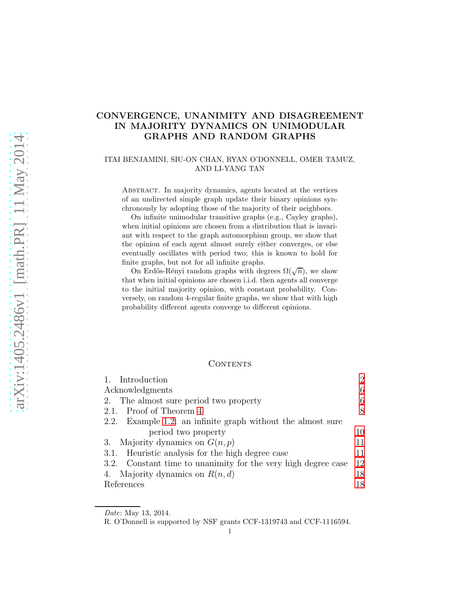# CONVERGENCE, UNANIMITY AND DISAGREEMENT IN MAJORITY DYNAMICS ON UNIMODULAR GRAPHS AND RANDOM GRAPHS

# ITAI BENJAMINI, SIU-ON CHAN, RYAN O'DONNELL, OMER TAMUZ, AND LI-YANG TAN

Abstract. In majority dynamics, agents located at the vertices of an undirected simple graph update their binary opinions synchronously by adopting those of the majority of their neighbors.

On infinite unimodular transitive graphs (e.g., Cayley graphs), when initial opinions are chosen from a distribution that is invariant with respect to the graph automorphism group, we show that the opinion of each agent almost surely either converges, or else eventually oscillates with period two; this is known to hold for finite graphs, but not for all infinite graphs.

On Erdős-Rényi random graphs with degrees  $\Omega(\sqrt{n})$ , we show that when initial opinions are chosen i.i.d. then agents all converge to the initial majority opinion, with constant probability. Conversely, on random 4-regular finite graphs, we show that with high probability different agents converge to different opinions.

# CONTENTS

| 1. Introduction                                               | $\overline{2}$ |
|---------------------------------------------------------------|----------------|
| Acknowledgments                                               | 6              |
| 2. The almost sure period two property                        | 6              |
| 2.1. Proof of Theorem 4                                       | 8              |
| 2.2. Example 1.2: an infinite graph without the almost sure   |                |
| period two property                                           | 10             |
| 3. Majority dynamics on $G(n, p)$                             | 11             |
| 3.1. Heuristic analysis for the high degree case              | 11             |
| 3.2. Constant time to unanimity for the very high degree case | 12             |
| 4. Majority dynamics on $R(n, d)$                             | 18             |
| References                                                    | 18             |

Date: May 13, 2014.

R. O'Donnell is supported by NSF grants CCF-1319743 and CCF-1116594.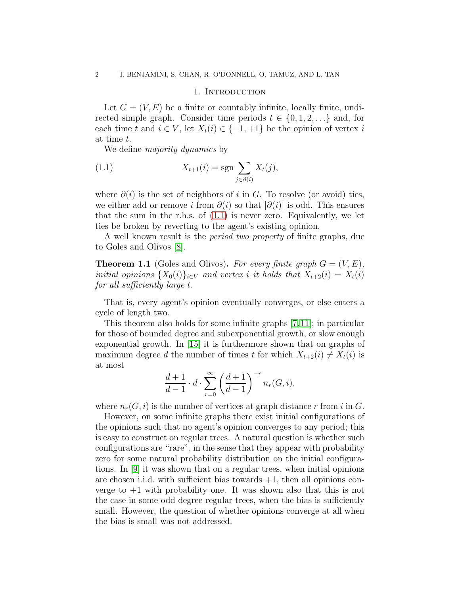### 1. INTRODUCTION

<span id="page-1-0"></span>Let  $G = (V, E)$  be a finite or countably infinite, locally finite, undirected simple graph. Consider time periods  $t \in \{0, 1, 2, \ldots\}$  and, for each time t and  $i \in V$ , let  $X_t(i) \in \{-1, +1\}$  be the opinion of vertex i at time t.

We define *majority dynamics* by

<span id="page-1-1"></span>(1.1) 
$$
X_{t+1}(i) = \operatorname{sgn} \sum_{j \in \partial(i)} X_t(j),
$$

where  $\partial(i)$  is the set of neighbors of i in G. To resolve (or avoid) ties, we either add or remove i from  $\partial(i)$  so that  $|\partial(i)|$  is odd. This ensures that the sum in the r.h.s. of  $(1.1)$  is never zero. Equivalently, we let ties be broken by reverting to the agent's existing opinion.

A well known result is the *period two property* of finite graphs, due to Goles and Olivos [\[8\]](#page-18-0).

**Theorem 1.1** (Goles and Olivos). For every finite graph  $G = (V, E)$ , initial opinions  $\{X_0(i)\}_{i\in V}$  and vertex i it holds that  $X_{t+2}(i) = X_t(i)$ for all sufficiently large t.

That is, every agent's opinion eventually converges, or else enters a cycle of length two.

This theorem also holds for some infinite graphs [\[7,](#page-18-1)[11\]](#page-18-2); in particular for those of bounded degree and subexponential growth, or slow enough exponential growth. In [\[15\]](#page-18-3) it is furthermore shown that on graphs of maximum degree d the number of times t for which  $X_{t+2}(i) \neq X_t(i)$  is at most

$$
\frac{d+1}{d-1} \cdot d \cdot \sum_{r=0}^{\infty} \left(\frac{d+1}{d-1}\right)^{-r} n_r(G,i),
$$

where  $n_r(G, i)$  is the number of vertices at graph distance r from i in G.

However, on some infinite graphs there exist initial configurations of the opinions such that no agent's opinion converges to any period; this is easy to construct on regular trees. A natural question is whether such configurations are "rare", in the sense that they appear with probability zero for some natural probability distribution on the initial configurations. In [\[9\]](#page-18-4) it was shown that on a regular trees, when initial opinions are chosen i.i.d. with sufficient bias towards  $+1$ , then all opinions converge to  $+1$  with probability one. It was shown also that this is not the case in some odd degree regular trees, when the bias is sufficiently small. However, the question of whether opinions converge at all when the bias is small was not addressed.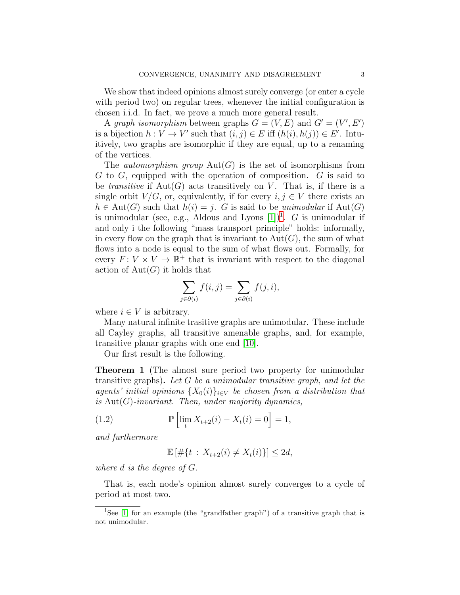We show that indeed opinions almost surely converge (or enter a cycle with period two) on regular trees, whenever the initial configuration is chosen i.i.d. In fact, we prove a much more general result.

A graph isomorphism between graphs  $G = (V, E)$  and  $G' = (V', E')$ is a bijection  $h: V \to V'$  such that  $(i, j) \in E$  iff  $(h(i), h(j)) \in E'$ . Intuitively, two graphs are isomorphic if they are equal, up to a renaming of the vertices.

The *automorphism group*  $Aut(G)$  is the set of isomorphisms from G to G, equipped with the operation of composition. G is said to be *transitive* if  $Aut(G)$  acts transitively on V. That is, if there is a single orbit  $V/G$ , or, equivalently, if for every  $i, j \in V$  there exists an  $h \in \text{Aut}(G)$  such that  $h(i) = j$ . G is said to be unimodular if  $\text{Aut}(G)$ is unimodular (see, e.g., Aldous and Lyons  $[1]$  $[1]$  $[1]$ )<sup>1</sup>. *G* is unimodular if and only i the following "mass transport principle" holds: informally, in every flow on the graph that is invariant to  $Aut(G)$ , the sum of what flows into a node is equal to the sum of what flows out. Formally, for every  $F: V \times V \to \mathbb{R}^+$  that is invariant with respect to the diagonal action of  $Aut(G)$  it holds that

$$
\sum_{j \in \partial(i)} f(i,j) = \sum_{j \in \partial(i)} f(j,i),
$$

where  $i \in V$  is arbitrary.

Many natural infinite trasitive graphs are unimodular. These include all Cayley graphs, all transitive amenable graphs, and, for example, transitive planar graphs with one end [\[10\]](#page-18-5).

Our first result is the following.

<span id="page-2-1"></span>Theorem 1 (The almost sure period two property for unimodular transitive graphs). Let G be a unimodular transitive graph, and let the agents' initial opinions  $\{X_0(i)\}_{i\in V}$  be chosen from a distribution that is  $Aut(G)$ -invariant. Then, under majority dynamics,

(1.2) 
$$
\mathbb{P}\left[\lim_{t} X_{t+2}(i) - X_{t}(i) = 0\right] = 1,
$$

and furthermore

$$
\mathbb{E} \left[ \# \{ t \, : \, X_{t+2}(i) \neq X_t(i) \} \right] \leq 2d,
$$

where d is the degree of G.

That is, each node's opinion almost surely converges to a cycle of period at most two.

<span id="page-2-0"></span><sup>&</sup>lt;sup>1</sup>See [\[1\]](#page-17-2) for an example (the "grandfather graph") of a transitive graph that is not unimodular.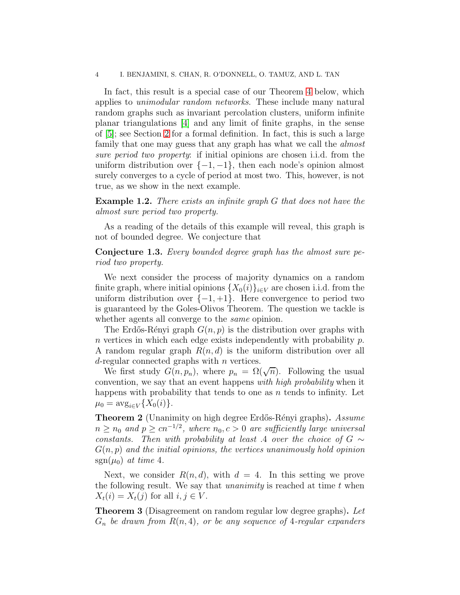In fact, this result is a special case of our Theorem [4](#page-7-0) below, which applies to unimodular random networks. These include many natural random graphs such as invariant percolation clusters, uniform infinite planar triangulations [\[4\]](#page-18-6) and any limit of finite graphs, in the sense of [\[5\]](#page-18-7); see Section [2](#page-5-1) for a formal definition. In fact, this is such a large family that one may guess that any graph has what we call the *almost* sure period two property: if initial opinions are chosen i.i.d. from the uniform distribution over  $\{-1, -1\}$ , then each node's opinion almost surely converges to a cycle of period at most two. This, however, is not true, as we show in the next example.

<span id="page-3-0"></span>**Example 1.2.** There exists an infinite graph G that does not have the almost sure period two property.

As a reading of the details of this example will reveal, this graph is not of bounded degree. We conjecture that

Conjecture 1.3. Every bounded degree graph has the almost sure period two property.

We next consider the process of majority dynamics on a random finite graph, where initial opinions  $\{X_0(i)\}_{i\in V}$  are chosen i.i.d. from the uniform distribution over  $\{-1, +1\}$ . Here convergence to period two is guaranteed by the Goles-Olivos Theorem. The question we tackle is whether agents all converge to the *same* opinion.

The Erdős-Rényi graph  $G(n, p)$  is the distribution over graphs with n vertices in which each edge exists independently with probability  $p$ . A random regular graph  $R(n, d)$  is the uniform distribution over all  $d$ -regular connected graphs with  $n$  vertices.

We first study  $G(n, p_n)$ , where  $p_n = \Omega(\sqrt{n})$ . Following the usual convention, we say that an event happens with high probability when it happens with probability that tends to one as  $n$  tends to infinity. Let  $\mu_0 = \arg_{i \in V} \{X_0(i)\}.$ 

<span id="page-3-1"></span>**Theorem 2** (Unanimity on high degree Erdős-Rényi graphs). Assume  $n \geq n_0$  and  $p \geq cn^{-1/2}$ , where  $n_0, c > 0$  are sufficiently large universal constants. Then with probability at least .4 over the choice of  $G \sim$  $G(n, p)$  and the initial opinions, the vertices unanimously hold opinion  $sgn(\mu_0)$  at time 4.

Next, we consider  $R(n, d)$ , with  $d = 4$ . In this setting we prove the following result. We say that *unanimity* is reached at time  $t$  when  $X_t(i) = X_t(j)$  for all  $i, j \in V$ .

<span id="page-3-2"></span>**Theorem 3** (Disagreement on random regular low degree graphs). Let  $G_n$  be drawn from  $R(n, 4)$ , or be any sequence of 4-regular expanders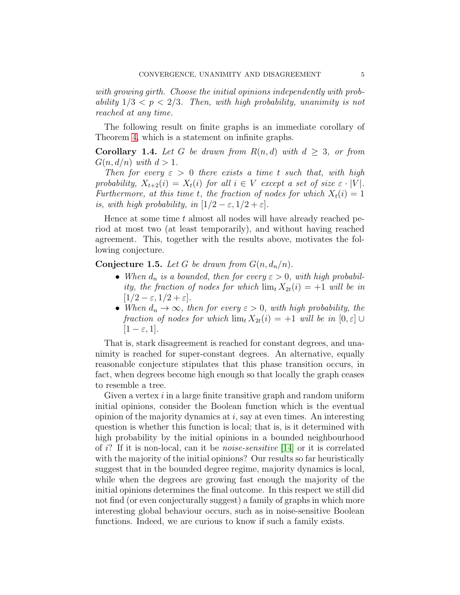with growing girth. Choose the initial opinions independently with probability  $1/3 < p < 2/3$ . Then, with high probability, unanimity is not reached at any time.

The following result on finite graphs is an immediate corollary of Theorem [4,](#page-7-0) which is a statement on infinite graphs.

**Corollary 1.4.** Let G be drawn from  $R(n,d)$  with  $d \geq 3$ , or from  $G(n, d/n)$  with  $d > 1$ .

Then for every  $\varepsilon > 0$  there exists a time t such that, with high probability,  $X_{t+2}(i) = X_t(i)$  for all  $i \in V$  except a set of size  $\varepsilon \cdot |V|$ . Furthermore, at this time t, the fraction of nodes for which  $X_t(i) = 1$ is, with high probability, in  $[1/2 - \varepsilon, 1/2 + \varepsilon]$ .

Hence at some time  $t$  almost all nodes will have already reached period at most two (at least temporarily), and without having reached agreement. This, together with the results above, motivates the following conjecture.

**Conjecture 1.5.** Let G be drawn from  $G(n, d_n/n)$ .

- When  $d_n$  is a bounded, then for every  $\varepsilon > 0$ , with high probability, the fraction of nodes for which  $\lim_{t} X_{2t}(i) = +1$  will be in  $[1/2 - \varepsilon, 1/2 + \varepsilon].$
- When  $d_n \to \infty$ , then for every  $\varepsilon > 0$ , with high probability, the fraction of nodes for which  $\lim_{t} X_{2t}(i) = +1$  will be in  $[0, \varepsilon] \cup$  $|1 - \varepsilon, 1|$ .

That is, stark disagreement is reached for constant degrees, and unanimity is reached for super-constant degrees. An alternative, equally reasonable conjecture stipulates that this phase transition occurs, in fact, when degrees become high enough so that locally the graph ceases to resemble a tree.

Given a vertex  $i$  in a large finite transitive graph and random uniform initial opinions, consider the Boolean function which is the eventual opinion of the majority dynamics at  $i$ , say at even times. An interesting question is whether this function is local; that is, is it determined with high probability by the initial opinions in a bounded neighbourhood of i? If it is non-local, can it be *noise-sensitive* [\[14\]](#page-18-8) or it is correlated with the majority of the initial opinions? Our results so far heuristically suggest that in the bounded degree regime, majority dynamics is local, while when the degrees are growing fast enough the majority of the initial opinions determines the final outcome. In this respect we still did not find (or even conjecturally suggest) a family of graphs in which more interesting global behaviour occurs, such as in noise-sensitive Boolean functions. Indeed, we are curious to know if such a family exists.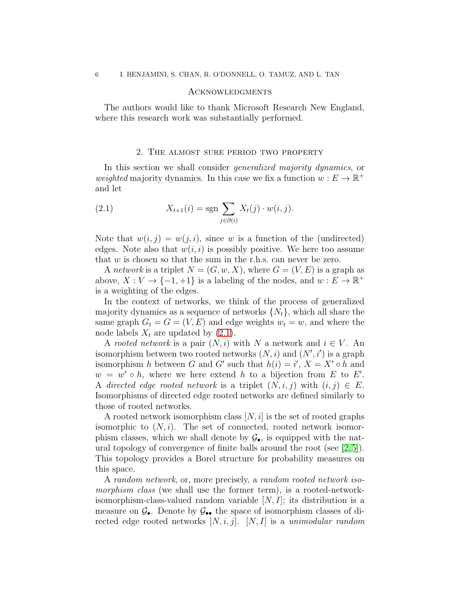## <span id="page-5-0"></span>**ACKNOWLEDGMENTS**

The authors would like to thank Microsoft Research New England, where this research work was substantially performed.

# 2. The almost sure period two property

<span id="page-5-1"></span>In this section we shall consider *generalized majority dynamics*, or weighted majority dynamics. In this case we fix a function  $w:E\to\mathbb{R}^+$ and let

<span id="page-5-2"></span>(2.1) 
$$
X_{t+1}(i) = \operatorname{sgn} \sum_{j \in \partial(i)} X_t(j) \cdot w(i,j).
$$

Note that  $w(i, j) = w(j, i)$ , since w is a function of the (undirected) edges. Note also that  $w(i, i)$  is possibly positive. We here too assume that  $w$  is chosen so that the sum in the r.h.s. can never be zero.

A network is a triplet  $N = (G, w, X)$ , where  $G = (V, E)$  is a graph as above,  $X: V \to \{-1, +1\}$  is a labeling of the nodes, and  $w: E \to \mathbb{R}^+$ is a weighting of the edges.

In the context of networks, we think of the process of generalized majority dynamics as a sequence of networks  $\{N_t\}$ , which all share the same graph  $G_t = G = (V, E)$  and edge weights  $w_t = w$ , and where the node labels  $X_t$  are updated by  $(2.1)$ .

A rooted network is a pair  $(N, i)$  with N a network and  $i \in V$ . An isomorphism between two rooted networks  $(N, i)$  and  $(N', i')$  is a graph isomorphism h between G and G' such that  $h(i) = i'$ ,  $X = X' \circ h$  and  $w = w' \circ h$ , where we here extend h to a bijection from E to E'. A directed edge rooted network is a triplet  $(N, i, j)$  with  $(i, j) \in E$ . Isomorphisms of directed edge rooted networks are defined similarly to those of rooted networks.

A rooted network isomorphism class  $[N, i]$  is the set of rooted graphs isomorphic to  $(N, i)$ . The set of connected, rooted network isomorphism classes, which we shall denote by  $\mathcal{G}_{\bullet}$ , is equipped with the natural topology of convergence of finite balls around the root (see  $(2,5)$ ). This topology provides a Borel structure for probability measures on this space.

A random network, or, more precisely, a random rooted network isomorphism class (we shall use the former term), is a rooted-networkisomorphism-class-valued random variable  $[N, I]$ ; its distribution is a measure on  $\mathcal{G}_{\bullet}$ . Denote by  $\mathcal{G}_{\bullet\bullet}$  the space of isomorphism classes of directed edge rooted networks  $[N, i, j]$ .  $[N, I]$  is a unimodular random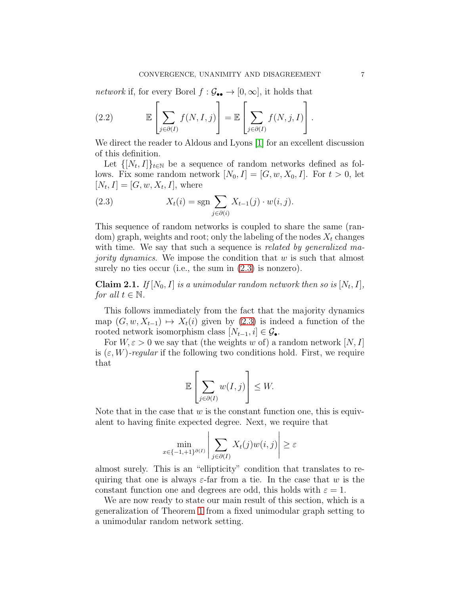$network$  if, for every Borel  $f:\mathcal{G}_{\bullet\bullet}\rightarrow[0,\infty],$  it holds that

(2.2) 
$$
\mathbb{E}\left[\sum_{j\in\partial(I)}f(N,I,j)\right]=\mathbb{E}\left[\sum_{j\in\partial(I)}f(N,j,I)\right].
$$

We direct the reader to Aldous and Lyons [\[1\]](#page-17-2) for an excellent discussion of this definition.

Let  $\{[N_t, I]\}_{t \in \mathbb{N}}$  be a sequence of random networks defined as follows. Fix some random network  $[N_0, I] = [G, w, X_0, I]$ . For  $t > 0$ , let  $[N_t, I] = [G, w, X_t, I],$  where

<span id="page-6-0"></span>(2.3) 
$$
X_{t}(i) = \text{sgn} \sum_{j \in \partial(i)} X_{t-1}(j) \cdot w(i, j).
$$

This sequence of random networks is coupled to share the same (random) graph, weights and root; only the labeling of the nodes  $X_t$  changes with time. We say that such a sequence is *related by generalized majority dynamics*. We impose the condition that  $w$  is such that almost surely no ties occur (i.e., the sum in  $(2.3)$  is nonzero).

**Claim 2.1.** If  $[N_0, I]$  is a unimodular random network then so is  $[N_t, I]$ , for all  $t \in \mathbb{N}$ .

This follows immediately from the fact that the majority dynamics map  $(G, w, X_{t-1}) \mapsto X_t(i)$  given by  $(2.3)$  is indeed a function of the rooted network isomorphism class  $[N_{t-1}, i] \in \mathcal{G}_{\bullet}$ .

For  $W, \varepsilon > 0$  we say that (the weights w of) a random network  $[N, I]$ is  $(\varepsilon, W)$ -regular if the following two conditions hold. First, we require that

$$
\mathbb{E}\left[\sum_{j\in\partial(I)} w(I,j)\right] \leq W.
$$

Note that in the case that  $w$  is the constant function one, this is equivalent to having finite expected degree. Next, we require that

$$
\min_{x \in \{-1, +1\}^{\partial(I)}} \left| \sum_{j \in \partial(I)} X_t(j) w(i, j) \right| \ge \varepsilon
$$

almost surely. This is an "ellipticity" condition that translates to requiring that one is always  $\varepsilon$ -far from a tie. In the case that w is the constant function one and degrees are odd, this holds with  $\varepsilon = 1$ .

We are now ready to state our main result of this section, which is a generalization of Theorem [1](#page-2-1) from a fixed unimodular graph setting to a unimodular random network setting.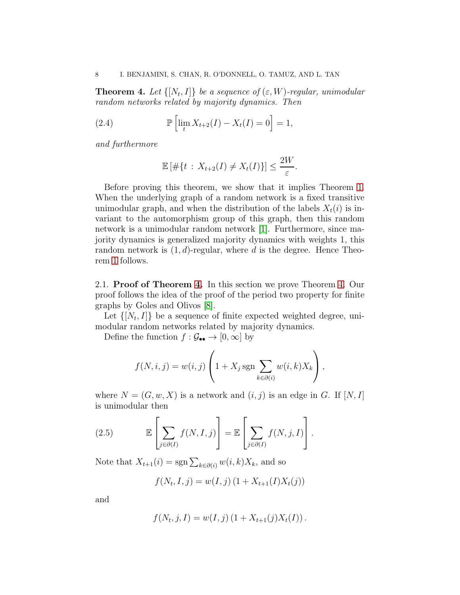<span id="page-7-0"></span>**Theorem 4.** Let  $\{[N_t, I]\}$  be a sequence of  $(\varepsilon, W)$ -regular, unimodular random networks related by majority dynamics. Then

(2.4) 
$$
\mathbb{P}\left[\lim_{t} X_{t+2}(I) - X_{t}(I) = 0\right] = 1,
$$

and furthermore

$$
\mathbb{E}\left[\#\{t\,:\,X_{t+2}(I)\neq X_t(I)\}\right]\leq \frac{2W}{\varepsilon}.
$$

Before proving this theorem, we show that it implies Theorem [1.](#page-2-1) When the underlying graph of a random network is a fixed transitive unimodular graph, and when the distribution of the labels  $X_t(i)$  is invariant to the automorphism group of this graph, then this random network is a unimodular random network [\[1\]](#page-17-2). Furthermore, since majority dynamics is generalized majority dynamics with weights 1, this random network is  $(1, d)$ -regular, where d is the degree. Hence Theorem [1](#page-2-1) follows.

<span id="page-7-1"></span>2.1. Proof of Theorem [4.](#page-7-0) In this section we prove Theorem [4.](#page-7-0) Our proof follows the idea of the proof of the period two property for finite graphs by Goles and Olivos [\[8\]](#page-18-0).

Let  $\{[N_t, I]\}$  be a sequence of finite expected weighted degree, unimodular random networks related by majority dynamics.

Define the function  $f : \mathcal{G}_{\bullet \bullet} \to [0, \infty]$  by

$$
f(N, i, j) = w(i, j) \left( 1 + X_j \operatorname{sgn} \sum_{k \in \partial(i)} w(i, k) X_k \right),
$$

where  $N = (G, w, X)$  is a network and  $(i, j)$  is an edge in G. If  $[N, I]$ is unimodular then

<span id="page-7-2"></span>(2.5) 
$$
\mathbb{E}\left[\sum_{j\in\partial(I)}f(N,I,j)\right]=\mathbb{E}\left[\sum_{j\in\partial(I)}f(N,j,I)\right].
$$

Note that  $X_{t+1}(i) = \text{sgn}\sum_{k\in\partial(i)} w(i,k)X_k$ , and so

$$
f(N_t, I, j) = w(I, j) (1 + X_{t+1}(I)X_t(j))
$$

and

$$
f(N_t, j, I) = w(I, j) (1 + X_{t+1}(j)X_t(I)).
$$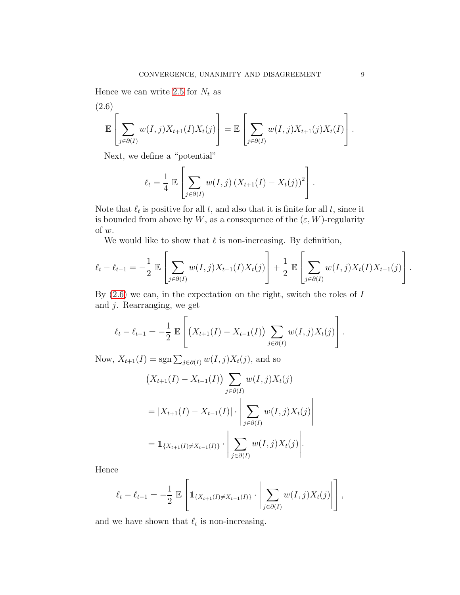Hence we can write [2.5](#page-7-2) for  $N_t$  as

<span id="page-8-0"></span>(2.6)  

$$
\mathbb{E}\left[\sum_{j\in\partial(I)} w(I,j)X_{t+1}(I)X_t(j)\right] = \mathbb{E}\left[\sum_{j\in\partial(I)} w(I,j)X_{t+1}(j)X_t(I)\right].
$$

Next, we define a "potential"

$$
\ell_t = \frac{1}{4} \mathbb{E} \left[ \sum_{j \in \partial(I)} w(I,j) \left( X_{t+1}(I) - X_t(j) \right)^2 \right].
$$

Note that  $\ell_t$  is positive for all  $t$ , and also that it is finite for all  $t$ , since it is bounded from above by W, as a consequence of the  $(\varepsilon, W)$ -regularity of  $w$ .

We would like to show that  $\ell$  is non-increasing. By definition,

$$
\ell_t - \ell_{t-1} = -\frac{1}{2} \mathbb{E} \left[ \sum_{j \in \partial(I)} w(I,j) X_{t+1}(I) X_t(j) \right] + \frac{1}{2} \mathbb{E} \left[ \sum_{j \in \partial(I)} w(I,j) X_t(I) X_{t-1}(j) \right].
$$

By  $(2.6)$  we can, in the expectation on the right, switch the roles of I and  $j$ . Rearranging, we get

$$
\ell_t - \ell_{t-1} = -\frac{1}{2} \mathbb{E}\left[ \left( X_{t+1}(I) - X_{t-1}(I) \right) \sum_{j \in \partial(I)} w(I,j) X_t(j) \right].
$$

Now,  $X_{t+1}(I) = \text{sgn}\sum_{j\in\partial(I)} w(I, j)X_t(j)$ , and so

$$
(X_{t+1}(I) - X_{t-1}(I)) \sum_{j \in \partial(I)} w(I, j) X_t(j)
$$
  
=  $|X_{t+1}(I) - X_{t-1}(I)| \cdot \left| \sum_{j \in \partial(I)} w(I, j) X_t(j) \right|$   
=  $\mathbb{1}_{\{X_{t+1}(I) \neq X_{t-1}(I)\}} \cdot \left| \sum_{j \in \partial(I)} w(I, j) X_t(j) \right|$ .

Hence

$$
\ell_t - \ell_{t-1} = -\frac{1}{2} \mathbb{E} \left[ \mathbb{1}_{\{X_{t+1}(I) \neq X_{t-1}(I)\}} \cdot \left| \sum_{j \in \partial(I)} w(I,j) X_t(j) \right| \right],
$$

and we have shown that  $\ell_t$  is non-increasing.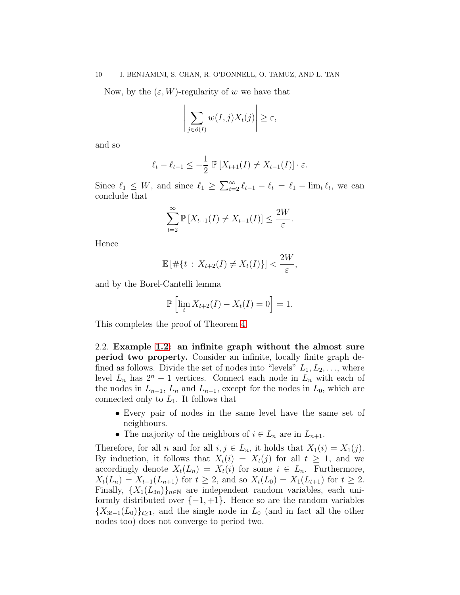#### 10 I. BENJAMINI, S. CHAN, R. O'DONNELL, O. TAMUZ, AND L. TAN

Now, by the  $(\varepsilon, W)$ -regularity of w we have that

$$
\left| \sum_{j \in \partial(I)} w(I,j) X_t(j) \right| \geq \varepsilon,
$$

and so

$$
\ell_t - \ell_{t-1} \leq -\frac{1}{2} \mathbb{P}\left[X_{t+1}(I) \neq X_{t-1}(I)\right] \cdot \varepsilon.
$$

Since  $\ell_1 \leq W$ , and since  $\ell_1 \geq \sum_{t=2}^{\infty} \ell_{t-1} - \ell_t = \ell_1 - \lim_{t \to \infty} \ell_t$ , we can conclude that

$$
\sum_{t=2}^{\infty} \mathbb{P}\left[X_{t+1}(I) \neq X_{t-1}(I)\right] \leq \frac{2W}{\varepsilon}.
$$

Hence

$$
\mathbb{E}\left[\#\{t\,:\,X_{t+2}(I)\neq X_t(I)\}\right]<\frac{2W}{\varepsilon},
$$

and by the Borel-Cantelli lemma

$$
\mathbb{P}\left[\lim_{t} X_{t+2}(I) - X_{t}(I) = 0\right] = 1.
$$

This completes the proof of Theorem [4.](#page-7-0)

<span id="page-9-0"></span>2.2. Example [1.2:](#page-3-0) an infinite graph without the almost sure period two property. Consider an infinite, locally finite graph defined as follows. Divide the set of nodes into "levels"  $L_1, L_2, \ldots$ , where level  $L_n$  has  $2^n - 1$  vertices. Connect each node in  $L_n$  with each of the nodes in  $L_{n-1}$ ,  $L_n$  and  $L_{n-1}$ , except for the nodes in  $L_0$ , which are connected only to  $L_1$ . It follows that

- Every pair of nodes in the same level have the same set of neighbours.
- The majority of the neighbors of  $i \in L_n$  are in  $L_{n+1}$ .

Therefore, for all n and for all  $i, j \in L_n$ , it holds that  $X_1(i) = X_1(j)$ . By induction, it follows that  $X_t(i) = X_t(j)$  for all  $t \geq 1$ , and we accordingly denote  $X_t(L_n) = X_t(i)$  for some  $i \in L_n$ . Furthermore,  $X_t(L_n) = X_{t-1}(L_{n+1})$  for  $t \geq 2$ , and so  $X_t(L_0) = X_1(L_{t+1})$  for  $t \geq 2$ . Finally,  $\{X_1(L_{3n})\}_{n\in\mathbb{N}}$  are independent random variables, each uniformly distributed over  $\{-1, +1\}$ . Hence so are the random variables  ${X_{3t-1}(L_0)}_{t\geq 1}$ , and the single node in  $L_0$  (and in fact all the other nodes too) does not converge to period two.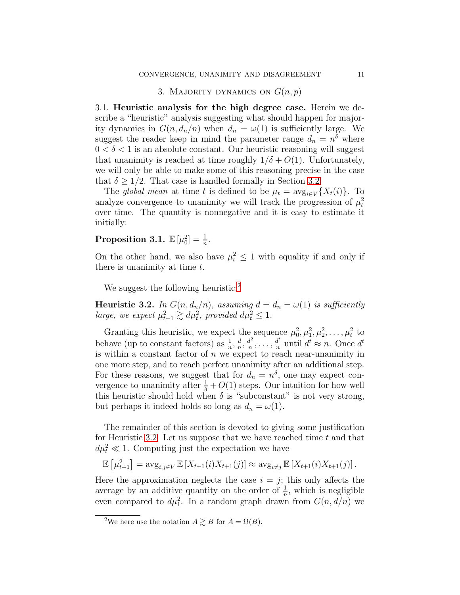# 3. MAJORITY DYNAMICS ON  $G(n, p)$

<span id="page-10-1"></span><span id="page-10-0"></span>3.1. Heuristic analysis for the high degree case. Herein we describe a "heuristic" analysis suggesting what should happen for majority dynamics in  $G(n, d_n/n)$  when  $d_n = \omega(1)$  is sufficiently large. We suggest the reader keep in mind the parameter range  $d_n = n^{\delta}$  where  $0 < \delta < 1$  is an absolute constant. Our heuristic reasoning will suggest that unanimity is reached at time roughly  $1/\delta + O(1)$ . Unfortunately, we will only be able to make some of this reasoning precise in the case that  $\delta \geq 1/2$ . That case is handled formally in Section [3.2.](#page-11-0)

The global mean at time t is defined to be  $\mu_t = \arg_{i \in V} \{X_t(i)\}.$  To analyze convergence to unanimity we will track the progression of  $\mu_t^2$ over time. The quantity is nonnegative and it is easy to estimate it initially:

# Proposition 3.1.  $\mathbb{E}[\mu_0^2] = \frac{1}{n}$ .

On the other hand, we also have  $\mu_t^2 \leq 1$  with equality if and only if there is unanimity at time  $t$ .

We suggest the following heuristic:<sup>[2](#page-10-2)</sup>

<span id="page-10-3"></span>**Heuristic 3.2.** In  $G(n, d_n/n)$ , assuming  $d = d_n = \omega(1)$  is sufficiently large, we expect  $\mu_{t+1}^2 \gtrsim d\mu_t^2$ , provided  $d\mu_t^2 \leq 1$ .

Granting this heuristic, we expect the sequence  $\mu_0^2, \mu_1^2, \mu_2^2, \ldots, \mu_t^2$  to behave (up to constant factors) as  $\frac{1}{n}$ ,  $\frac{d}{n}$  $\frac{d}{n}, \frac{d^2}{n}$  $\frac{d^2}{n}, \ldots, \frac{d^t}{n}$  $\frac{d^t}{n}$  until  $d^t \approx n$ . Once  $d^t$ is within a constant factor of  $n$  we expect to reach near-unanimity in one more step, and to reach perfect unanimity after an additional step. For these reasons, we suggest that for  $d_n = n^{\delta}$ , one may expect convergence to unanimity after  $\frac{1}{\delta} + O(1)$  steps. Our intuition for how well this heuristic should hold when  $\delta$  is "subconstant" is not very strong, but perhaps it indeed holds so long as  $d_n = \omega(1)$ .

The remainder of this section is devoted to giving some justification for Heuristic [3.2.](#page-10-3) Let us suppose that we have reached time  $t$  and that  $d\mu_t^2 \ll 1$ . Computing just the expectation we have

 $\mathbb{E} \left[ \mu_{t+1}^2 \right] = \arg_{i,j \in V} \mathbb{E} \left[ X_{t+1}(i) X_{t+1}(j) \right] \approx \arg_{i \neq j} \mathbb{E} \left[ X_{t+1}(i) X_{t+1}(j) \right].$ 

Here the approximation neglects the case  $i = j$ ; this only affects the average by an additive quantity on the order of  $\frac{1}{n}$ , which is negligible even compared to  $d\mu_1^2$ . In a random graph drawn from  $G(n, d/n)$  we

<span id="page-10-2"></span><sup>&</sup>lt;sup>2</sup>We here use the notation  $A \gtrsim B$  for  $A = \Omega(B)$ .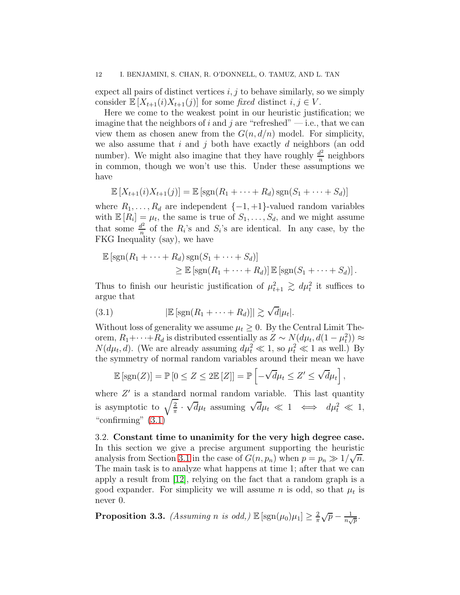#### 12 I. BENJAMINI, S. CHAN, R. O'DONNELL, O. TAMUZ, AND L. TAN

expect all pairs of distinct vertices  $i, j$  to behave similarly, so we simply consider  $\mathbb{E}[X_{t+1}(i)X_{t+1}(j)]$  for some fixed distinct  $i, j \in V$ .

Here we come to the weakest point in our heuristic justification; we imagine that the neighbors of i and j are "refreshed"  $-$  i.e., that we can view them as chosen anew from the  $G(n, d/n)$  model. For simplicity, we also assume that  $i$  and  $j$  both have exactly  $d$  neighbors (an odd number). We might also imagine that they have roughly  $\frac{d^2}{n}$  $\frac{d^2}{n}$  neighbors in common, though we won't use this. Under these assumptions we have

$$
\mathbb{E}\left[X_{t+1}(i)X_{t+1}(j)\right] = \mathbb{E}\left[\text{sgn}(R_1 + \cdots + R_d)\text{sgn}(S_1 + \cdots + S_d)\right]
$$

where  $R_1, \ldots, R_d$  are independent  $\{-1, +1\}$ -valued random variables with  $\mathbb{E}[R_i] = \mu_t$ , the same is true of  $S_1, \ldots, S_d$ , and we might assume that some  $\frac{d^2}{n}$  $\frac{d^2}{n}$  of the  $R_i$ 's and  $S_i$ 's are identical. In any case, by the FKG Inequality (say), we have

$$
\mathbb{E} [\text{sgn}(R_1 + \dots + R_d) \text{sgn}(S_1 + \dots + S_d)]
$$
  
\n
$$
\geq \mathbb{E} [\text{sgn}(R_1 + \dots + R_d)] \mathbb{E} [\text{sgn}(S_1 + \dots + S_d)].
$$

Thus to finish our heuristic justification of  $\mu_{t+1}^2 \geq d\mu_t^2$  it suffices to argue that

<span id="page-11-1"></span>(3.1) 
$$
|\mathbb{E}[\text{sgn}(R_1 + \cdots + R_d)]| \gtrsim \sqrt{d}|\mu_t|.
$$

Without loss of generality we assume  $\mu_t \geq 0$ . By the Central Limit Theorem,  $R_1 + \cdots + R_d$  is distributed essentially as  $Z \sim N(d\mu_t, d(1-\mu_t^2)) \approx$  $N(d\mu_t, d)$ . (We are already assuming  $d\mu_t^2 \ll 1$ , so  $\mu_t^2 \ll 1$  as well.) By the symmetry of normal random variables around their mean we have

$$
\mathbb{E}\left[\text{sgn}(Z)\right] = \mathbb{P}\left[0 \le Z \le 2\mathbb{E}\left[Z\right]\right] = \mathbb{P}\left[-\sqrt{d}\mu_t \le Z' \le \sqrt{d}\mu_t\right],
$$

where  $Z'$  is a standard normal random variable. This last quantity is asymptotic to  $\sqrt{\frac{2}{\pi}}$  $\frac{2}{\pi}$ .  $\sqrt{d}\mu_t$  assuming  $\sqrt{d}\mu_t \ll 1 \iff d\mu_t^2 \ll 1$ , "confirming"  $(3.1)$ 

<span id="page-11-0"></span>3.2. Constant time to unanimity for the very high degree case. In this section we give a precise argument supporting the heuristic analysis from Section [3.1](#page-10-1) in the case of  $G(n, p_n)$  when  $p = p_n \gg 1/\sqrt{n}$ . The main task is to analyze what happens at time 1; after that we can apply a result from [\[12\]](#page-18-9), relying on the fact that a random graph is a good expander. For simplicity we will assume n is odd, so that  $\mu_t$  is never 0.

<span id="page-11-2"></span>**Proposition 3.3.** (Assuming n is odd,)  $\mathbb{E} [\text{sgn}(\mu_0)\mu_1] \geq \frac{2}{\pi}$  $\frac{2}{\pi}\sqrt{p} - \frac{1}{n_v}$  $\frac{1}{n\sqrt{p}}.$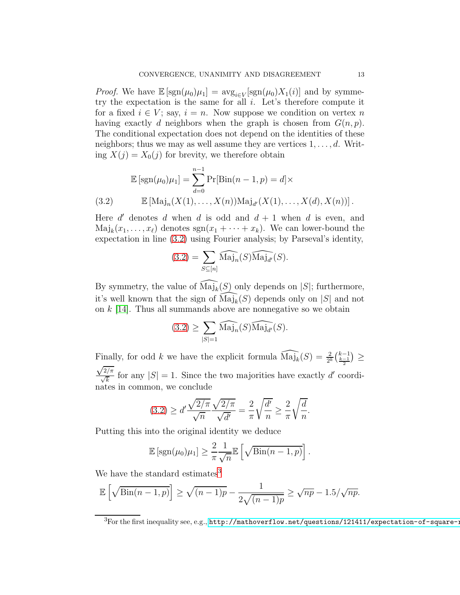*Proof.* We have  $\mathbb{E}[\text{sgn}(\mu_0)\mu_1] = \arg_{i \in V}[\text{sgn}(\mu_0)X_1(i)]$  and by symmetry the expectation is the same for all  $i$ . Let's therefore compute it for a fixed  $i \in V$ ; say,  $i = n$ . Now suppose we condition on vertex n having exactly d neighbors when the graph is chosen from  $G(n, p)$ . The conditional expectation does not depend on the identities of these neighbors; thus we may as well assume they are vertices  $1, \ldots, d$ . Writing  $X(j) = X_0(j)$  for brevity, we therefore obtain

$$
\mathbb{E} [\text{sgn}(\mu_0)\mu_1] = \sum_{d=0}^{n-1} \Pr[\text{Bin}(n-1, p) = d] \times \n\mathbb{E} [\text{Maj}_n(X(1), \dots, X(n))\text{Maj}_{d'}(X(1), \dots, X(d), X(n))].
$$

<span id="page-12-0"></span>Here  $d'$  denotes  $d$  when  $d$  is odd and  $d + 1$  when  $d$  is even, and  $\text{Maj}_k(x_1, \ldots, x_\ell)$  denotes  $\text{sgn}(x_1 + \cdots + x_k)$ . We can lower-bound the expectation in line [\(3.2\)](#page-12-0) using Fourier analysis; by Parseval's identity,

$$
(3.2) = \sum_{S \subseteq [n]} \widehat{\text{Maj}_n}(S) \widehat{\text{Maj}_{d'}}(S).
$$

By symmetry, the value of  $\widehat{\text{Maj}_k(S)}$  only depends on |S|; furthermore, it's well known that the sign of  $\widehat{\mathrm{Maj}_k}(S)$  depends only on |S| and not on  $k$  [\[14\]](#page-18-8). Thus all summands above are nonnegative so we obtain

$$
(3.2) \ge \sum_{|S|=1} \widehat{\text{Maj}_n}(S) \widehat{\text{Maj}_{d'}}(S).
$$

Finally, for odd k we have the explicit formula  $\widehat{\text{Maj}_k}(S) = \frac{2}{2^k} {k-1 \choose \frac{k-1}{2}} \geq$  $\sqrt{2/\pi}$  $\frac{\sqrt{2}}{\sqrt{k}}$  for any  $|S| = 1$ . Since the two majorities have exactly d' coordinates in common, we conclude

$$
(3.2) \ge d' \frac{\sqrt{2/\pi}}{\sqrt{n}} \frac{\sqrt{2/\pi}}{\sqrt{d'}} = \frac{2}{\pi} \sqrt{\frac{d'}{n}} \ge \frac{2}{\pi} \sqrt{\frac{d}{n}}.
$$

Putting this into the original identity we deduce

$$
\mathbb{E}\left[\text{sgn}(\mu_0)\mu_1\right] \geq \frac{2}{\pi} \frac{1}{\sqrt{n}} \mathbb{E}\left[\sqrt{\text{Bin}(n-1,p)}\right].
$$

We have the standard estimates<sup>[3](#page-12-1)</sup>

$$
\mathbb{E}\left[\sqrt{\text{Bin}(n-1,p)}\right] \ge \sqrt{(n-1)p} - \frac{1}{2\sqrt{(n-1)p}} \ge \sqrt{np} - 1.5/\sqrt{np}.
$$

<span id="page-12-1"></span> ${}^{3}$ For the first inequality see, e.g.,  ${\tt http://mathoverflow.net/questions/121411/expectation-of-square-2}$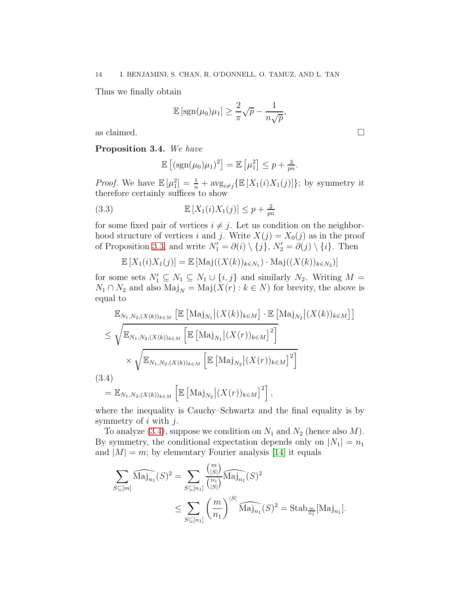Thus we finally obtain

$$
\mathbb{E}\left[\text{sgn}(\mu_0)\mu_1\right] \ge \frac{2}{\pi}\sqrt{p} - \frac{1}{n\sqrt{p}},
$$

as claimed.  $\Box$ 

<span id="page-13-1"></span>Proposition 3.4. We have

$$
\mathbb{E}\left[ (\text{sgn}(\mu_0)\mu_1)^2 \right] = \mathbb{E}\left[ \mu_1^2 \right] \leq p + \frac{3}{pn}.
$$

*Proof.* We have  $\mathbb{E}[\mu_1^2] = \frac{1}{n} + \arg_{i \neq j} {\mathbb{E}[X_1(i)X_1(j)]};$  by symmetry it therefore certainly suffices to show

(3.3) 
$$
\mathbb{E}\left[X_1(i)X_1(j)\right] \leq p + \frac{2}{pn}
$$

for some fixed pair of vertices  $i \neq j$ . Let us condition on the neighborhood structure of vertices i and j. Write  $X(j) = X_0(j)$  as in the proof of Proposition [3.3,](#page-11-2) and write  $N'_1 = \partial(i) \setminus \{j\}, N'_2 = \partial(j) \setminus \{i\}.$  Then

$$
\mathbb{E}\left[X_1(i)X_1(j)\right] = \mathbb{E}\left[\text{Maj}((X(k))_{k\in N_1})\cdot \text{Maj}((X(k))_{k\in N_2})\right]
$$

for some sets  $N'_1 \subseteq N_1 \subseteq N_1 \cup \{i, j\}$  and similarly  $N_2$ . Writing  $M =$  $N_1 \cap N_2$  and also  $\text{Maj}_N = \text{Maj}(X(r) : k \in N)$  for brevity, the above is equal to

$$
\mathbb{E}_{N_1,N_2,(X(k))_{k\in M}} \left[ \mathbb{E} \left[ \text{Maj}_{N_1} \middle| (X(k))_{k\in M} \right] \cdot \mathbb{E} \left[ \text{Maj}_{N_2} \middle| (X(k))_{k\in M} \right] \right]
$$
\n
$$
\leq \sqrt{\mathbb{E}_{N_1,N_2,(X(k))_{k\in M}} \left[ \mathbb{E} \left[ \text{Maj}_{N_1} \middle| (X(r))_{k\in M} \right]^2 \right]}
$$
\n
$$
\times \sqrt{\mathbb{E}_{N_1,N_2,(X(k))_{k\in M}} \left[ \mathbb{E} \left[ \text{Maj}_{N_2} \middle| (X(r))_{k\in M} \right]^2 \right]}
$$
\n(3.4)\n
$$
= \mathbb{E}_{N_1,N_2,(X(k))_{k\in M}} \left[ \mathbb{E} \left[ \text{Maj}_{N_2} \middle| (X(r))_{k\in M} \right]^2 \right],
$$

<span id="page-13-0"></span>where the inequality is Cauchy–Schwartz and the final equality is by symmetry of  $i$  with  $j$ .

To analyze [\(3.4\)](#page-13-0), suppose we condition on  $N_1$  and  $N_2$  (hence also  $M$ ). By symmetry, the conditional expectation depends only on  $|N_1| = n_1$ and  $|M| = m$ ; by elementary Fourier analysis [\[14\]](#page-18-8) it equals

$$
\sum_{S \subseteq [m]} \widehat{\text{Maj}_{n_1}}(S)^2 = \sum_{S \subseteq [n_1]} \frac{\binom{m}{|S|}}{\binom{n_1}{|S|}} \widehat{\text{Maj}_{n_1}}(S)^2
$$
  

$$
\leq \sum_{S \subseteq [n_1]} \left(\frac{m}{n_1}\right)^{|S|} \widehat{\text{Maj}_{n_1}}(S)^2 = \text{Stab}_{\frac{m}{n_1}}[\text{Maj}_{n_1}].
$$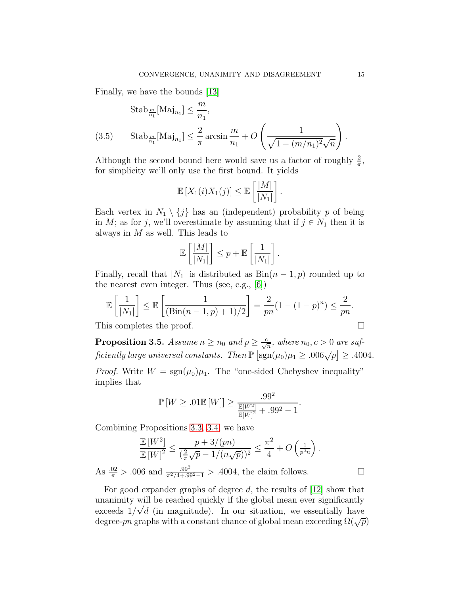Finally, we have the bounds [\[13\]](#page-18-10)

<span id="page-14-1"></span>
$$
\begin{aligned} \text{Stab}_{\frac{m}{n_1}}[\text{Maj}_{n_1}] &\leq \frac{m}{n_1},\\ \text{(3.5)} \qquad \text{Stab}_{\frac{m}{n_1}}[\text{Maj}_{n_1}] &\leq \frac{2}{\pi} \arcsin \frac{m}{n_1} + O\left(\frac{1}{\sqrt{1 - (m/n_1)^2}\sqrt{n}}\right). \end{aligned}
$$

Although the second bound here would save us a factor of roughly  $\frac{2}{\pi}$ , for simplicity we'll only use the first bound. It yields

$$
\mathbb{E}\left[X_1(i)X_1(j)\right] \leq \mathbb{E}\left[\frac{|M|}{|N_1|}\right].
$$

Each vertex in  $N_1 \setminus \{j\}$  has an (independent) probability p of being in M; as for j, we'll overestimate by assuming that if  $j \in N_1$  then it is always in  $M$  as well. This leads to

$$
\mathbb{E}\left[\frac{|M|}{|N_1|}\right] \leq p + \mathbb{E}\left[\frac{1}{|N_1|}\right].
$$

Finally, recall that  $|N_1|$  is distributed as  $\text{Bin}(n-1, p)$  rounded up to the nearest even integer. Thus (see, e.g., [\[6\]](#page-18-11))

$$
\mathbb{E}\left[\frac{1}{|N_1|}\right] \le \mathbb{E}\left[\frac{1}{(\text{Bin}(n-1, p) + 1)/2}\right] = \frac{2}{pn}(1 - (1-p)^n) \le \frac{2}{pn}.
$$

This completes the proof.

<span id="page-14-0"></span>**Proposition 3.5.** Assume  $n \ge n_0$  and  $p \ge \frac{c}{\sqrt{n}}$ , where  $n_0, c > 0$  are sufficiently large universal constants. Then  $\mathbb{P}\left[\text{sgn}(\mu_0)\mu_1 \geq .006\sqrt{p}\right] \geq .4004$ .

*Proof.* Write  $W = \text{sgn}(\mu_0)\mu_1$ . The "one-sided Chebyshev inequality" implies that

$$
\mathbb{P}\left[W \geq .01 \mathbb{E}\left[W\right]\right] \geq \frac{.99^2}{\frac{\mathbb{E}[W^2]}{\mathbb{E}[W]^2} + .99^2 - 1}.
$$

Combining Propositions [3.3,](#page-11-2) [3.4,](#page-13-1) we have

$$
\frac{\mathbb{E}[W^2]}{\mathbb{E}[W]^2} \le \frac{p + 3/(pn)}{(\frac{2}{\pi}\sqrt{p} - 1/(n\sqrt{p}))^2} \le \frac{\pi^2}{4} + O\left(\frac{1}{p^2n}\right).
$$
  
As  $\frac{.02}{\pi} > .006$  and  $\frac{.99^2}{\pi^2/4 + .99^2 - 1} > .4004$ , the claim follows.

For good expander graphs of degree d, the results of [\[12\]](#page-18-9) show that unanimity will be reached quickly if the global mean ever significantly  $\alpha$  and  $\alpha$  is  $\alpha$  and  $\alpha$  is the contracted density in the gross mean over signmentally have degree-pn graphs with a constant chance of global mean exceeding  $\Omega(\sqrt{p})$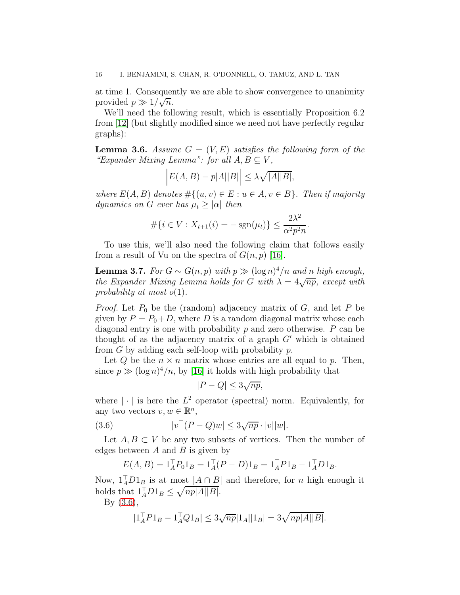at time 1. Consequently we are able to show convergence to unanimity provided  $p \gg 1/\sqrt{n}$ .

We'll need the following result, which is essentially Proposition 6.2 from [\[12\]](#page-18-9) (but slightly modified since we need not have perfectly regular graphs):

**Lemma 3.6.** Assume  $G = (V, E)$  satisfies the following form of the "Expander Mixing Lemma": for all  $A, B \subseteq V$ ,

$$
\left| E(A, B) - p|A||B| \right| \leq \lambda \sqrt{|A||B|},
$$

where  $E(A, B)$  denotes  $\#\{(u, v) \in E : u \in A, v \in B\}$ . Then if majority dynamics on G ever has  $\mu_t \geq |\alpha|$  then

$$
\#\{i \in V : X_{t+1}(i) = -\operatorname{sgn}(\mu_t)\} \le \frac{2\lambda^2}{\alpha^2 p^2 n}.
$$

To use this, we'll also need the following claim that follows easily from a result of Vu on the spectra of  $G(n, p)$  [\[16\]](#page-18-12).

**Lemma 3.7.** For  $G \sim G(n, p)$  with  $p \gg (\log n)^4/n$  and n high enough, the Expander Mixing Lemma holds for G with  $\lambda = 4\sqrt{np}$ , except with probability at most  $o(1)$ .

*Proof.* Let  $P_0$  be the (random) adjacency matrix of  $G$ , and let  $P$  be given by  $P = P_0 + D$ , where D is a random diagonal matrix whose each diagonal entry is one with probability  $p$  and zero otherwise.  $P$  can be thought of as the adjacency matrix of a graph  $G'$  which is obtained from  $G$  by adding each self-loop with probability  $p$ .

Let Q be the  $n \times n$  matrix whose entries are all equal to p. Then, since  $p \gg (\log n)^4/n$ , by [\[16\]](#page-18-12) it holds with high probability that

$$
|P - Q| \le 3\sqrt{np},
$$

where  $|\cdot|$  is here the  $L^2$  operator (spectral) norm. Equivalently, for any two vectors  $v, w \in \mathbb{R}^n$ ,

<span id="page-15-0"></span>(3.6) 
$$
|v^{\top}(P-Q)w| \leq 3\sqrt{np} \cdot |v||w|.
$$

Let  $A, B \subset V$  be any two subsets of vertices. Then the number of edges between  $A$  and  $B$  is given by

$$
E(A, B) = 1_A^T P_0 1_B = 1_A^T (P - D) 1_B = 1_A^T P 1_B - 1_A^T D 1_B.
$$

Now,  $1_A^{\dagger} D1_B$  is at most  $|A \cap B|$  and therefore, for *n* high enough it holds that  $1_A^\top D1_B \leq \sqrt{np|A||B|}.$ 

By [\(3.6\)](#page-15-0),

$$
|1_A^{\top} P 1_B - 1_A^{\top} Q 1_B| \leq 3\sqrt{np} |1_A||1_B| = 3\sqrt{np|A||B|}.
$$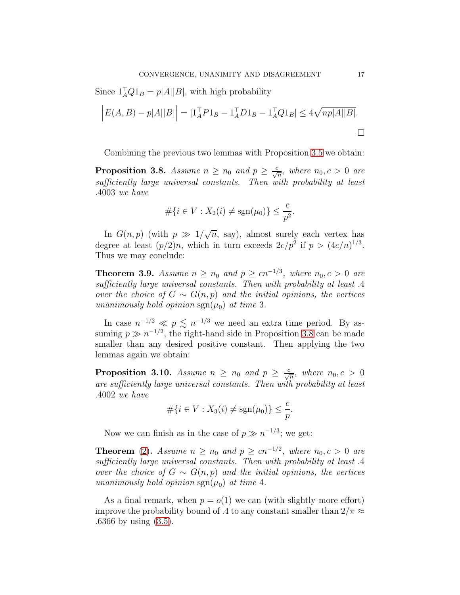Since  $1_A^{\dagger} Q 1_B = p|A||B|$ , with high probability

$$
\left| E(A, B) - p|A||B| \right| = |1_A^\top P 1_B - 1_A^\top D 1_B - 1_A^\top Q 1_B| \le 4\sqrt{np|A||B|}.
$$

Combining the previous two lemmas with Proposition [3.5](#page-14-0) we obtain:

<span id="page-16-0"></span>**Proposition 3.8.** Assume  $n \ge n_0$  and  $p \ge \frac{c}{\sqrt{n}}$ , where  $n_0, c > 0$  are sufficiently large universal constants. Then with probability at least .4003 we have

$$
\#\{i \in V : X_2(i) \neq \text{sgn}(\mu_0)\} \leq \frac{c}{p^2}.
$$

In  $G(n, p)$  (with  $p \gg 1/\sqrt{n}$ , say), almost surely each vertex has degree at least  $(p/2)n$ , which in turn exceeds  $2c/p^2$  if  $p > (4c/n)^{1/3}$ . Thus we may conclude:

**Theorem 3.9.** Assume  $n \ge n_0$  and  $p \ge cn^{-1/3}$ , where  $n_0, c > 0$  are sufficiently large universal constants. Then with probability at least .4 over the choice of  $G \sim G(n, p)$  and the initial opinions, the vertices unanimously hold opinion  $sgn(\mu_0)$  at time 3.

In case  $n^{-1/2} \ll p \lesssim n^{-1/3}$  we need an extra time period. By assuming  $p \gg n^{-1/2}$ , the right-hand side in Proposition [3.8](#page-16-0) can be made smaller than any desired positive constant. Then applying the two lemmas again we obtain:

**Proposition 3.10.** Assume  $n \ge n_0$  and  $p \ge \frac{c}{\sqrt{n}}$ , where  $n_0, c > 0$ are sufficiently large universal constants. Then with probability at least .4002 we have

$$
\#\{i \in V : X_3(i) \neq \text{sgn}(\mu_0)\} \leq \frac{c}{p}.
$$

Now we can finish as in the case of  $p \gg n^{-1/3}$ ; we get:

**Theorem** [\(2\)](#page-3-1). Assume  $n \ge n_0$  and  $p \ge cn^{-1/2}$ , where  $n_0, c > 0$  are sufficiently large universal constants. Then with probability at least .4 over the choice of  $G \sim G(n, p)$  and the initial opinions, the vertices unanimously hold opinion  $sgn(\mu_0)$  at time 4.

As a final remark, when  $p = o(1)$  we can (with slightly more effort) improve the probability bound of .4 to any constant smaller than  $2/\pi \approx$ .6366 by using [\(3.5\)](#page-14-1).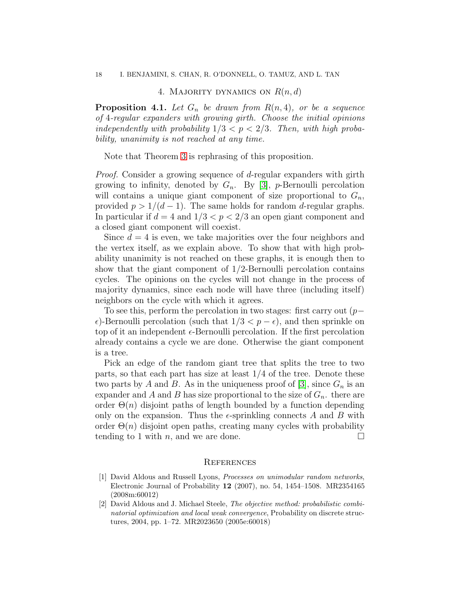# 4. MAJORITY DYNAMICS ON  $R(n, d)$

<span id="page-17-0"></span>**Proposition 4.1.** Let  $G_n$  be drawn from  $R(n, 4)$ , or be a sequence of 4-regular expanders with growing girth. Choose the initial opinions independently with probability  $1/3 < p < 2/3$ . Then, with high probability, unanimity is not reached at any time.

Note that Theorem [3](#page-3-2) is rephrasing of this proposition.

Proof. Consider a growing sequence of d-regular expanders with girth growing to infinity, denoted by  $G_n$ . By [\[3\]](#page-18-13), p-Bernoulli percolation will contains a unique giant component of size proportional to  $G_n$ , provided  $p > 1/(d-1)$ . The same holds for random d-regular graphs. In particular if  $d = 4$  and  $1/3 < p < 2/3$  an open giant component and a closed giant component will coexist.

Since  $d = 4$  is even, we take majorities over the four neighbors and the vertex itself, as we explain above. To show that with high probability unanimity is not reached on these graphs, it is enough then to show that the giant component of 1/2-Bernoulli percolation contains cycles. The opinions on the cycles will not change in the process of majority dynamics, since each node will have three (including itself) neighbors on the cycle with which it agrees.

To see this, perform the percolation in two stages: first carry out  $(p \epsilon$ )-Bernoulli percolation (such that  $1/3 < p - \epsilon$ ), and then sprinkle on top of it an independent  $\epsilon$ -Bernoulli percolation. If the first percolation already contains a cycle we are done. Otherwise the giant component is a tree.

Pick an edge of the random giant tree that splits the tree to two parts, so that each part has size at least 1/4 of the tree. Denote these two parts by A and B. As in the uniqueness proof of [\[3\]](#page-18-13), since  $G_n$  is an expander and A and B has size proportional to the size of  $G_n$ , there are order  $\Theta(n)$  disjoint paths of length bounded by a function depending only on the expansion. Thus the  $\epsilon$ -sprinkling connects A and B with order  $\Theta(n)$  disjoint open paths, creating many cycles with probability tending to 1 with n, and we are done.

# <span id="page-17-1"></span>**REFERENCES**

- <span id="page-17-2"></span>[1] David Aldous and Russell Lyons, Processes on unimodular random networks, Electronic Journal of Probability  $12$  (2007), no. 54, 1454–1508. MR2354165 (2008m:60012)
- <span id="page-17-3"></span>[2] David Aldous and J. Michael Steele, The objective method: probabilistic combinatorial optimization and local weak convergence, Probability on discrete structures, 2004, pp. 1–72. MR2023650 (2005e:60018)